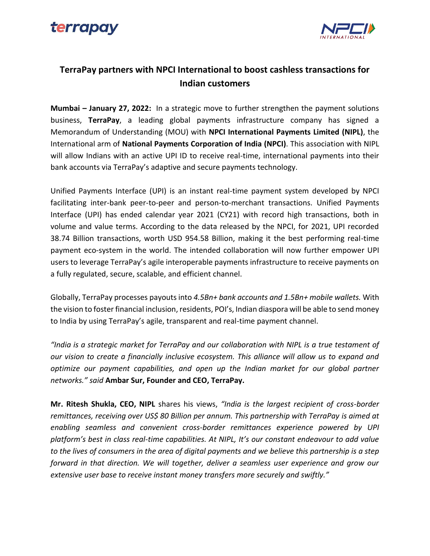



## **TerraPay partners with NPCI International to boost cashless transactions for Indian customers**

**Mumbai – January 27, 2022:** In a strategic move to further strengthen the payment solutions business, **TerraPay**, a leading global payments infrastructure company has signed a Memorandum of Understanding (MOU) with **NPCI International Payments Limited (NIPL)**, the International arm of **National Payments Corporation of India (NPCI)**. This association with NIPL will allow Indians with an active UPI ID to receive real-time, international payments into their bank accounts via TerraPay's adaptive and secure payments technology.

Unified Payments Interface (UPI) is an instant real-time payment system developed by NPCI facilitating inter-bank peer-to-peer and person-to-merchant transactions. Unified Payments Interface (UPI) has ended calendar year 2021 (CY21) with record high transactions, both in volume and value terms. According to the data released by the NPCI, for 2021, UPI recorded 38.74 Billion transactions, worth USD 954.58 Billion, making it the best performing real-time payment eco-system in the world. The intended collaboration will now further empower UPI users to leverage TerraPay's agile interoperable payments infrastructure to receive payments on a fully regulated, secure, scalable, and efficient channel.

Globally, TerraPay processes payouts into *4.5Bn+ bank accounts and 1.5Bn+ mobile wallets.* With the vision to foster financial inclusion, residents, POI's, Indian diaspora will be able to send money to India by using TerraPay's agile, transparent and real-time payment channel.

*"India is a strategic market for TerraPay and our collaboration with NIPL is a true testament of our vision to create a financially inclusive ecosystem. This alliance will allow us to expand and optimize our payment capabilities, and open up the Indian market for our global partner networks." said* **Ambar Sur, Founder and CEO, TerraPay.**

**Mr. Ritesh Shukla, CEO, NIPL** shares his views, *"India is the largest recipient of cross-border remittances, receiving over US\$ 80 Billion per annum. This partnership with TerraPay is aimed at enabling seamless and convenient cross-border remittances experience powered by UPI platform's best in class real-time capabilities. At NIPL, It's our constant endeavour to add value to the lives of consumers in the area of digital payments and we believe this partnership is a step forward in that direction. We will together, deliver a seamless user experience and grow our extensive user base to receive instant money transfers more securely and swiftly."*